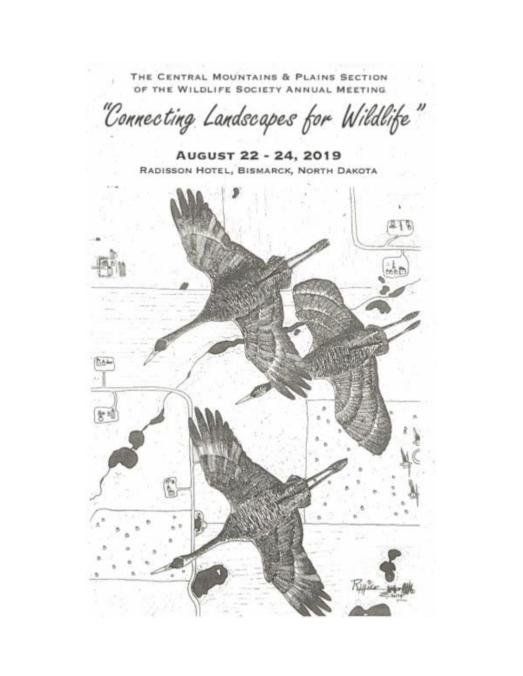THE CENTRAL MOUNTAINS & PLAINS SECTION OF THE WILDLIFE SOCIETY ANNUAL MEETING

"Connecting Landscapes for Wildlife"

August 22 - 24, 2019 RADISSON HOTEL, BISMARCK, NORTH DAKOTA

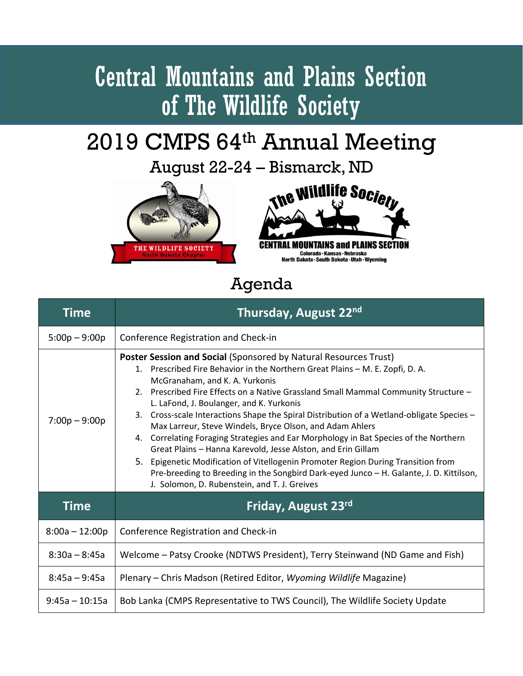## Central Mountains and Plains Section of The Wildlife Society

## 2019 CMPS 64th Annual Meeting

August 22-24 – Bismarck, ND





Agenda

| Time             | Thursday, August 22nd                                                                                                                                                                                                                                                                                                                                                                                                                                                                                                                                                                                                                                                                                                                                                                                                                                                   |
|------------------|-------------------------------------------------------------------------------------------------------------------------------------------------------------------------------------------------------------------------------------------------------------------------------------------------------------------------------------------------------------------------------------------------------------------------------------------------------------------------------------------------------------------------------------------------------------------------------------------------------------------------------------------------------------------------------------------------------------------------------------------------------------------------------------------------------------------------------------------------------------------------|
| $5:00p - 9:00p$  | Conference Registration and Check-in                                                                                                                                                                                                                                                                                                                                                                                                                                                                                                                                                                                                                                                                                                                                                                                                                                    |
| $7:00p - 9:00p$  | Poster Session and Social (Sponsored by Natural Resources Trust)<br>1. Prescribed Fire Behavior in the Northern Great Plains - M. E. Zopfi, D. A.<br>McGranaham, and K. A. Yurkonis<br>2. Prescribed Fire Effects on a Native Grassland Small Mammal Community Structure -<br>L. LaFond, J. Boulanger, and K. Yurkonis<br>3. Cross-scale Interactions Shape the Spiral Distribution of a Wetland-obligate Species -<br>Max Larreur, Steve Windels, Bryce Olson, and Adam Ahlers<br>4. Correlating Foraging Strategies and Ear Morphology in Bat Species of the Northern<br>Great Plains - Hanna Karevold, Jesse Alston, and Erin Gillam<br>5. Epigenetic Modification of Vitellogenin Promoter Region During Transition from<br>Pre-breeding to Breeding in the Songbird Dark-eyed Junco - H. Galante, J. D. Kittilson,<br>J. Solomon, D. Rubenstein, and T. J. Greives |
| <b>Time</b>      | Friday, August 23rd                                                                                                                                                                                                                                                                                                                                                                                                                                                                                                                                                                                                                                                                                                                                                                                                                                                     |
| $8:00a - 12:00p$ | Conference Registration and Check-in                                                                                                                                                                                                                                                                                                                                                                                                                                                                                                                                                                                                                                                                                                                                                                                                                                    |
| $8:30a - 8:45a$  | Welcome - Patsy Crooke (NDTWS President), Terry Steinwand (ND Game and Fish)                                                                                                                                                                                                                                                                                                                                                                                                                                                                                                                                                                                                                                                                                                                                                                                            |
| $8:45a - 9:45a$  | Plenary – Chris Madson (Retired Editor, Wyoming Wildlife Magazine)                                                                                                                                                                                                                                                                                                                                                                                                                                                                                                                                                                                                                                                                                                                                                                                                      |
| $9:45a - 10:15a$ | Bob Lanka (CMPS Representative to TWS Council), The Wildlife Society Update                                                                                                                                                                                                                                                                                                                                                                                                                                                                                                                                                                                                                                                                                                                                                                                             |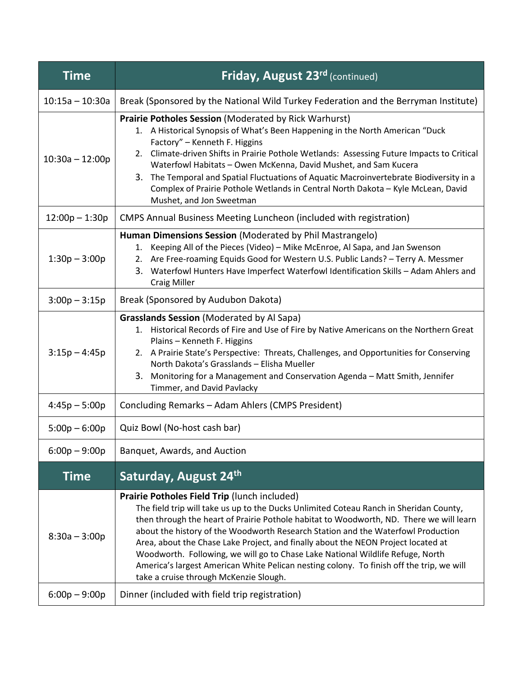| <b>Time</b>       | <b>Friday, August 23rd (continued)</b>                                                                                                                                                                                                                                                                                                                                                                                                                                                                                                                                                                                             |
|-------------------|------------------------------------------------------------------------------------------------------------------------------------------------------------------------------------------------------------------------------------------------------------------------------------------------------------------------------------------------------------------------------------------------------------------------------------------------------------------------------------------------------------------------------------------------------------------------------------------------------------------------------------|
| $10:15a - 10:30a$ | Break (Sponsored by the National Wild Turkey Federation and the Berryman Institute)                                                                                                                                                                                                                                                                                                                                                                                                                                                                                                                                                |
| $10:30a - 12:00p$ | <b>Prairie Potholes Session (Moderated by Rick Warhurst)</b><br>1. A Historical Synopsis of What's Been Happening in the North American "Duck<br>Factory" - Kenneth F. Higgins<br>2. Climate-driven Shifts in Prairie Pothole Wetlands: Assessing Future Impacts to Critical<br>Waterfowl Habitats - Owen McKenna, David Mushet, and Sam Kucera<br>3. The Temporal and Spatial Fluctuations of Aquatic Macroinvertebrate Biodiversity in a<br>Complex of Prairie Pothole Wetlands in Central North Dakota - Kyle McLean, David<br>Mushet, and Jon Sweetman                                                                         |
| $12:00p - 1:30p$  | <b>CMPS Annual Business Meeting Luncheon (included with registration)</b>                                                                                                                                                                                                                                                                                                                                                                                                                                                                                                                                                          |
| $1:30p - 3:00p$   | Human Dimensions Session (Moderated by Phil Mastrangelo)<br>Keeping All of the Pieces (Video) - Mike McEnroe, Al Sapa, and Jan Swenson<br>1.<br>2. Are Free-roaming Equids Good for Western U.S. Public Lands? - Terry A. Messmer<br>3. Waterfowl Hunters Have Imperfect Waterfowl Identification Skills - Adam Ahlers and<br><b>Craig Miller</b>                                                                                                                                                                                                                                                                                  |
| $3:00p - 3:15p$   | Break (Sponsored by Audubon Dakota)                                                                                                                                                                                                                                                                                                                                                                                                                                                                                                                                                                                                |
| $3:15p - 4:45p$   | <b>Grasslands Session (Moderated by Al Sapa)</b><br>1. Historical Records of Fire and Use of Fire by Native Americans on the Northern Great<br>Plains - Kenneth F. Higgins<br>2. A Prairie State's Perspective: Threats, Challenges, and Opportunities for Conserving<br>North Dakota's Grasslands - Elisha Mueller<br>3. Monitoring for a Management and Conservation Agenda - Matt Smith, Jennifer<br>Timmer, and David Pavlacky                                                                                                                                                                                                 |
| $4:45p - 5:00p$   | Concluding Remarks - Adam Ahlers (CMPS President)                                                                                                                                                                                                                                                                                                                                                                                                                                                                                                                                                                                  |
| $5:00p - 6:00p$   | Quiz Bowl (No-host cash bar)                                                                                                                                                                                                                                                                                                                                                                                                                                                                                                                                                                                                       |
| $6:00p - 9:00p$   | Banquet, Awards, and Auction                                                                                                                                                                                                                                                                                                                                                                                                                                                                                                                                                                                                       |
| <b>Time</b>       | Saturday, August 24th                                                                                                                                                                                                                                                                                                                                                                                                                                                                                                                                                                                                              |
| $8:30a - 3:00p$   | Prairie Potholes Field Trip (lunch included)<br>The field trip will take us up to the Ducks Unlimited Coteau Ranch in Sheridan County,<br>then through the heart of Prairie Pothole habitat to Woodworth, ND. There we will learn<br>about the history of the Woodworth Research Station and the Waterfowl Production<br>Area, about the Chase Lake Project, and finally about the NEON Project located at<br>Woodworth. Following, we will go to Chase Lake National Wildlife Refuge, North<br>America's largest American White Pelican nesting colony. To finish off the trip, we will<br>take a cruise through McKenzie Slough. |
| $6:00p - 9:00p$   | Dinner (included with field trip registration)                                                                                                                                                                                                                                                                                                                                                                                                                                                                                                                                                                                     |